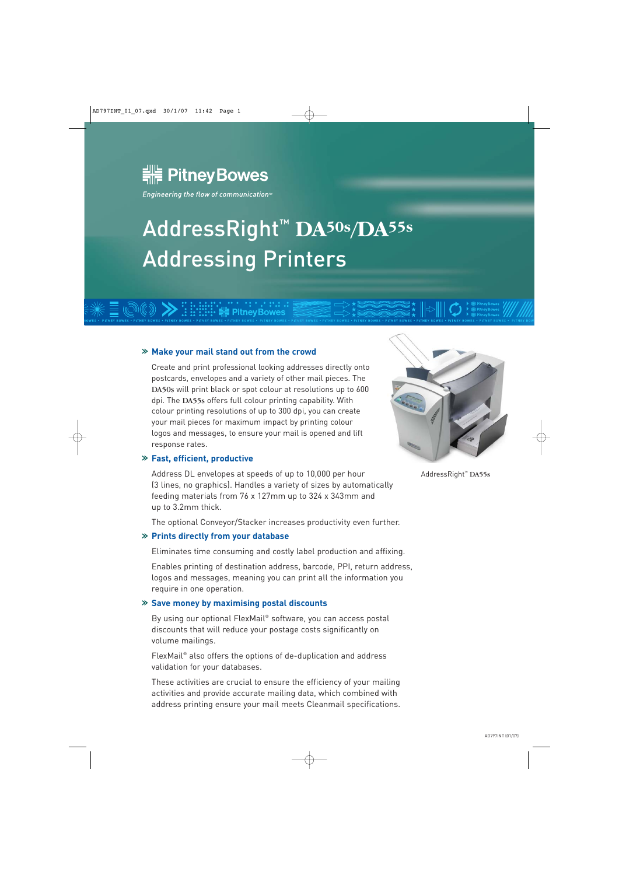

Engineering the flow of communication<sup>14</sup>

# AddressRight™ **DA50s/DA55s** Addressing Printers

#### **Make your mail stand out from the crowd**

Create and print professional looking addresses directly onto postcards, envelopes and a variety of other mail pieces. The DA50s will print black or spot colour at resolutions up to 600 dpi. The DA55s offers full colour printing capability. With colour printing resolutions of up to 300 dpi, you can create your mail pieces for maximum impact by printing colour logos and messages, to ensure your mail is opened and lift response rates.

#### **Fast, efficient, productive**

Address DL envelopes at speeds of up to 10,000 per hour (3 lines, no graphics). Handles a variety of sizes by automatically feeding materials from 76 x 127mm up to 324 x 343mm and up to 3.2mm thick.

The optional Conveyor/Stacker increases productivity even further.

#### **Prints directly from your database**

Eliminates time consuming and costly label production and affixing.

Enables printing of destination address, barcode, PPI, return address, logos and messages, meaning you can print all the information you require in one operation.

#### **Save money by maximising postal discounts**

By using our optional FlexMail® software, you can access postal discounts that will reduce your postage costs significantly on volume mailings.

FlexMail® also offers the options of de-duplication and address validation for your databases.

These activities are crucial to ensure the efficiency of your mailing activities and provide accurate mailing data, which combined with address printing ensure your mail meets Cleanmail specifications.



AddressRight™ DA55s